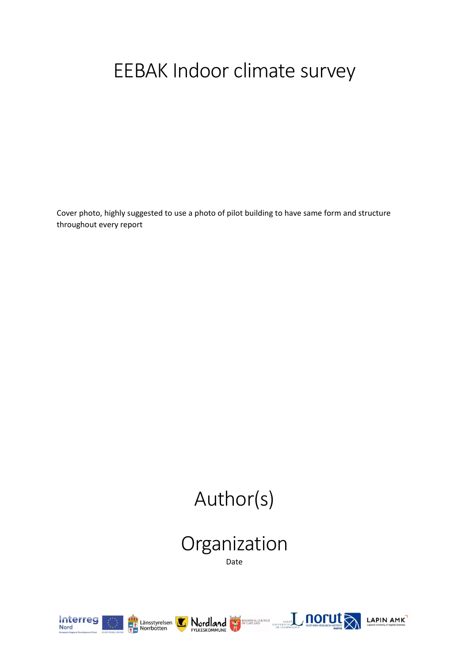## EEBAK Indoor climate survey

Cover photo, highly suggested to use a photo of pilot building to have same form and structure throughout every report

# Author(s)

# Organization

Date









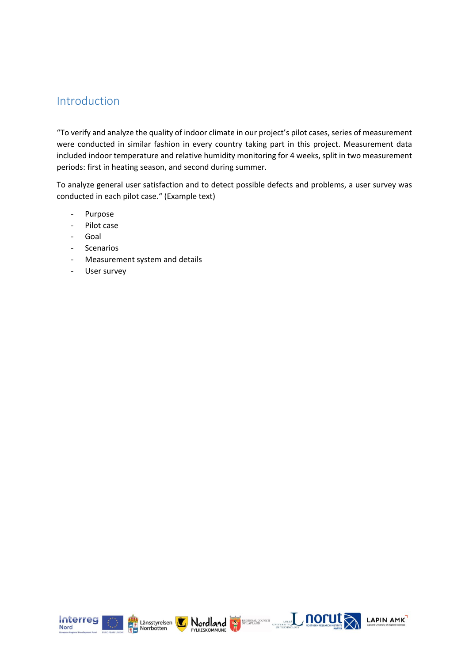### Introduction

"To verify and analyze the quality of indoor climate in our project's pilot cases, series of measurement were conducted in similar fashion in every country taking part in this project. Measurement data included indoor temperature and relative humidity monitoring for 4 weeks, split in two measurement periods: first in heating season, and second during summer.

To analyze general user satisfaction and to detect possible defects and problems, a user survey was conducted in each pilot case." (Example text)

- Purpose
- Pilot case
- Goal
- Scenarios
- Measurement system and details
- User survey









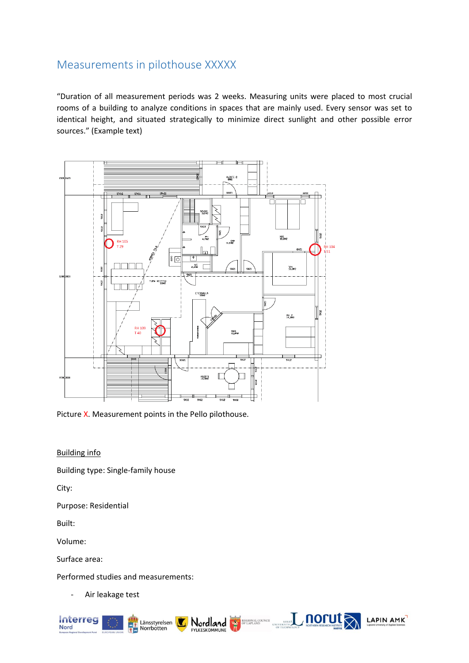### Measurements in pilothouse XXXXX

"Duration of all measurement periods was 2 weeks. Measuring units were placed to most crucial rooms of a building to analyze conditions in spaces that are mainly used. Every sensor was set to identical height, and situated strategically to minimize direct sunlight and other possible error sources." (Example text)



Picture X. Measurement points in the Pello pilothouse.

Building info

Building type: Single-family house

City:

Purpose: Residential

Built:

Volume:

Surface area:

Performed studies and measurements:

Air leakage test







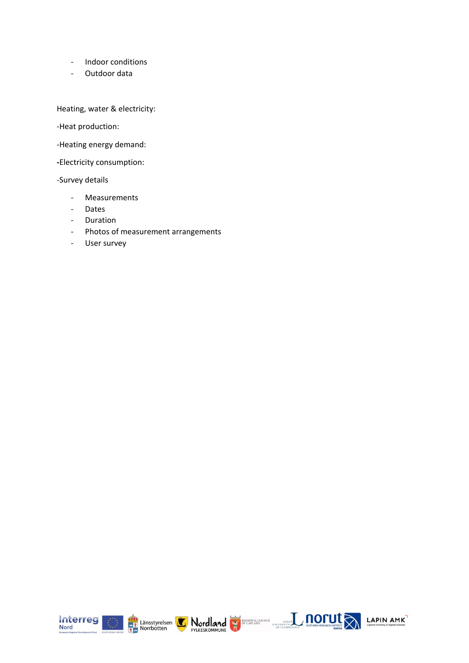- Indoor conditions
- Outdoor data

Heating, water & electricity:

-Heat production:

-Heating energy demand:

**-**Electricity consumption:

-Survey details

- Measurements
- Dates
- Duration
- Photos of measurement arrangements
- User survey









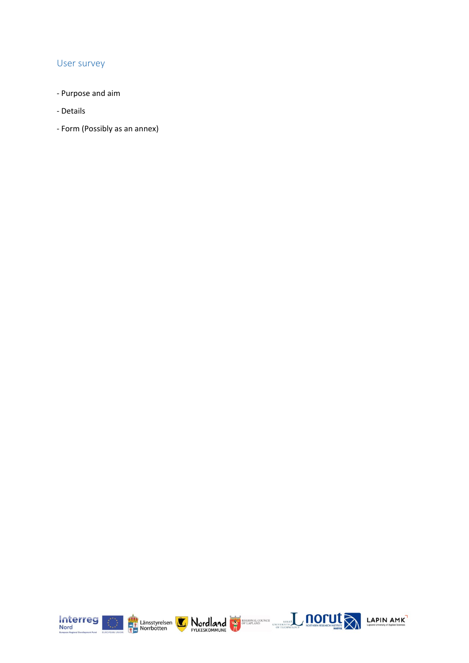#### User survey

- Purpose and aim
- Details
- Form (Possibly as an annex)









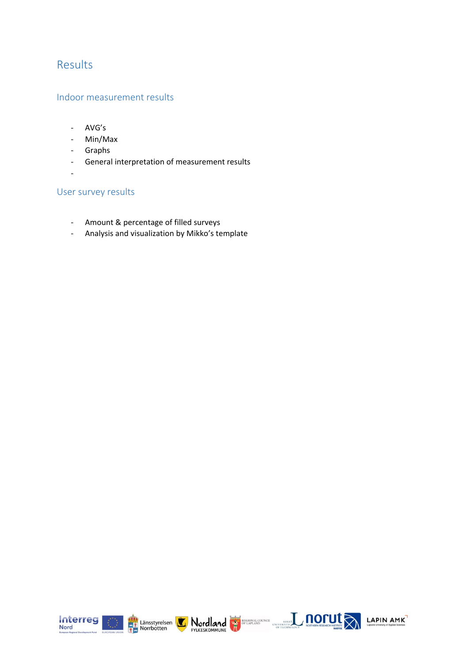## Results

#### Indoor measurement results

- AVG's
- Min/Max
- Graphs
- General interpretation of measurement results
- -

#### User survey results

- Amount & percentage of filled surveys
- Analysis and visualization by Mikko's template